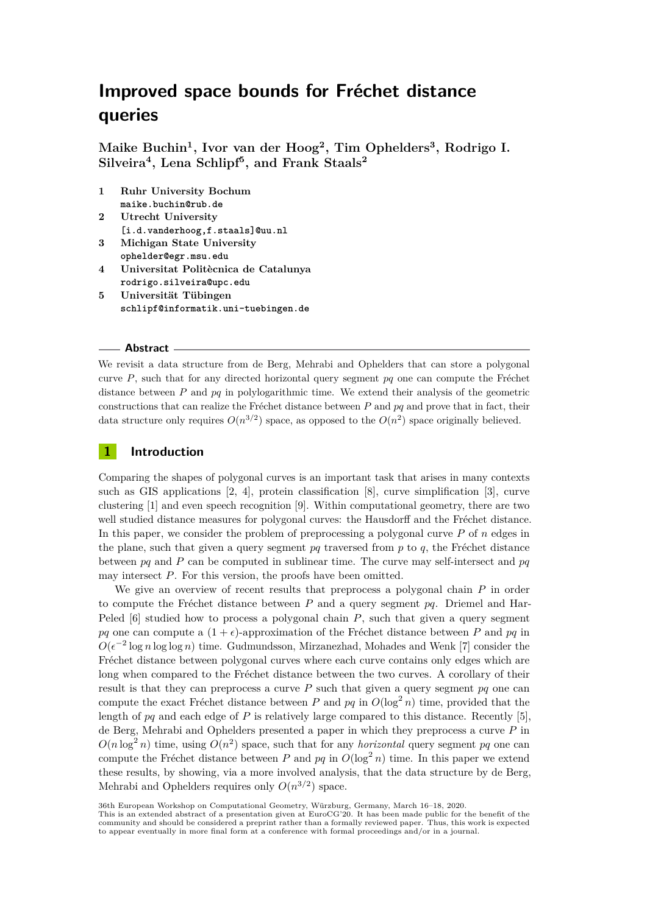# **Improved space bounds for Fréchet distance queries**

**Maike Buchin<sup>1</sup> , Ivor van der Hoog<sup>2</sup> , Tim Ophelders<sup>3</sup> , Rodrigo I. Silveira<sup>4</sup> , Lena Schlipf<sup>5</sup> , and Frank Staals<sup>2</sup>**

- **1 Ruhr University Bochum maike.buchin@rub.de 2 Utrecht University [i.d.vanderhoog,f.staals]@uu.nl 3 Michigan State University ophelder@egr.msu.edu 4 Universitat Politècnica de Catalunya**
- **rodrigo.silveira@upc.edu 5 Universität Tübingen schlipf@informatik.uni-tuebingen.de**

#### **Abstract**

We revisit a data structure from de Berg, Mehrabi and Ophelders that can store a polygonal curve *P*, such that for any directed horizontal query segment *pq* one can compute the Fréchet distance between *P* and *pq* in polylogarithmic time. We extend their analysis of the geometric constructions that can realize the Fréchet distance between *P* and *pq* and prove that in fact, their data structure only requires  $O(n^{3/2})$  space, as opposed to the  $O(n^2)$  space originally believed.

### **1 Introduction**

Comparing the shapes of polygonal curves is an important task that arises in many contexts such as GIS applications [\[2,](#page-6-0) [4\]](#page-6-1), protein classification [\[8\]](#page-6-2), curve simplification [\[3\]](#page-6-3), curve clustering [\[1\]](#page-6-4) and even speech recognition [\[9\]](#page-6-5). Within computational geometry, there are two well studied distance measures for polygonal curves: the Hausdorff and the Fréchet distance. In this paper, we consider the problem of preprocessing a polygonal curve *P* of *n* edges in the plane, such that given a query segment  $pq$  traversed from  $p$  to  $q$ , the Fréchet distance between *pq* and *P* can be computed in sublinear time. The curve may self-intersect and *pq* may intersect *P*. For this version, the proofs have been omitted.

We give an overview of recent results that preprocess a polygonal chain *P* in order to compute the Fréchet distance between *P* and a query segment *pq*. Driemel and Har-Peled [\[6\]](#page-6-6) studied how to process a polygonal chain *P*, such that given a query segment *pq* one can compute a  $(1 + \epsilon)$ -approximation of the Fréchet distance between *P* and *pq* in  $O(\epsilon^{-2} \log n \log \log n)$  time. Gudmundsson, Mirzanezhad, Mohades and Wenk [\[7\]](#page-6-7) consider the Fréchet distance between polygonal curves where each curve contains only edges which are long when compared to the Fréchet distance between the two curves. A corollary of their result is that they can preprocess a curve *P* such that given a query segment *pq* one can compute the exact Fréchet distance between *P* and  $pq$  in  $O(\log^2 n)$  time, provided that the length of *pq* and each edge of *P* is relatively large compared to this distance. Recently [\[5\]](#page-6-8), de Berg, Mehrabi and Ophelders presented a paper in which they preprocess a curve *P* in  $O(n \log^2 n)$  time, using  $O(n^2)$  space, such that for any *horizontal* query segment pq one can compute the Fréchet distance between *P* and  $pq$  in  $O(log^2 n)$  time. In this paper we extend these results, by showing, via a more involved analysis, that the data structure by de Berg, Mehrabi and Ophelders requires only  $O(n^{3/2})$  space.

36th European Workshop on Computational Geometry, Würzburg, Germany, March 16–18, 2020.

This is an extended abstract of a presentation given at EuroCG'20. It has been made public for the benefit of the<br>community and should be considered a preprint rather than a formally reviewed paper. Thus, this work is expe to appear eventually in more final form at a conference with formal proceedings and/or in a journal.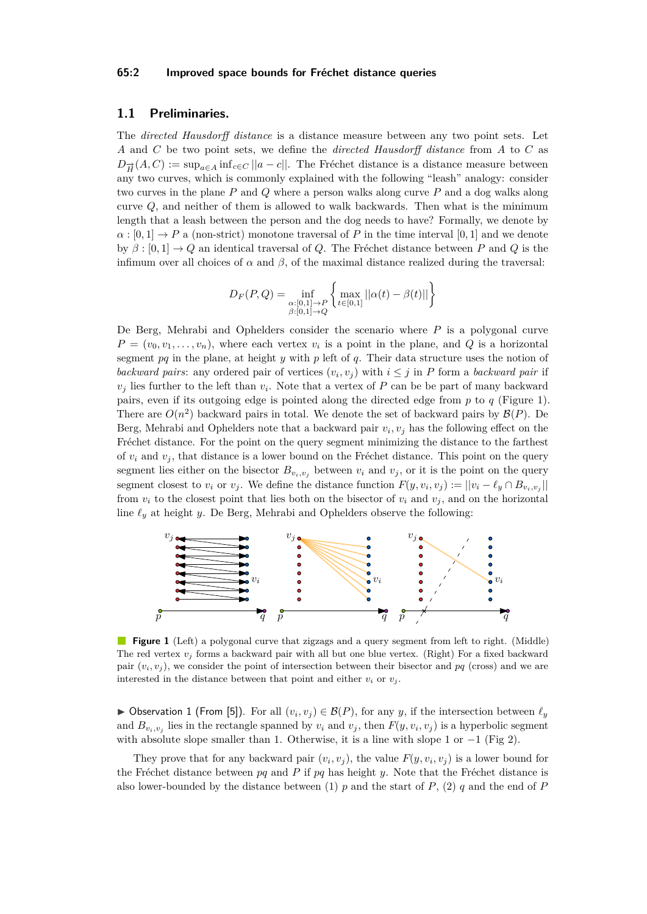#### **65:2 Improved space bounds for Fréchet distance queries**

## **1.1 Preliminaries.**

The *directed Hausdorff distance* is a distance measure between any two point sets. Let *A* and *C* be two point sets, we define the *directed Hausdorff distance* from *A* to *C* as  $D_{\vec{H}}(A, C) := \sup_{a \in A} \inf_{c \in C} ||a - c||$ . The Fréchet distance is a distance measure between any two curves, which is commonly explained with the following "leash" analogy: consider two curves in the plane *P* and *Q* where a person walks along curve *P* and a dog walks along curve *Q*, and neither of them is allowed to walk backwards. Then what is the minimum length that a leash between the person and the dog needs to have? Formally, we denote by  $\alpha : [0,1] \to P$  a (non-strict) monotone traversal of *P* in the time interval [0, 1] and we denote by  $\beta$  :  $[0,1] \rightarrow Q$  an identical traversal of *Q*. The Fréchet distance between *P* and *Q* is the infimum over all choices of  $\alpha$  and  $\beta$ , of the maximal distance realized during the traversal:

$$
D_F(P,Q) = \inf_{\substack{\alpha:[0,1]\to P\\ \beta:[0,1]\to Q}} \left\{ \max_{t\in[0,1]} ||\alpha(t)-\beta(t)|| \right\}
$$

De Berg, Mehrabi and Ophelders consider the scenario where *P* is a polygonal curve  $P = (v_0, v_1, \ldots, v_n)$ , where each vertex  $v_i$  is a point in the plane, and *Q* is a horizontal segment *pq* in the plane, at height *y* with *p* left of *q*. Their data structure uses the notion of *backward pairs*: any ordered pair of vertices  $(v_i, v_j)$  with  $i \leq j$  in *P* form a *backward pair* if  $v_j$  lies further to the left than  $v_i$ . Note that a vertex of *P* can be be part of many backward pairs, even if its outgoing edge is pointed along the directed edge from *p* to *q* (Figure [1\)](#page-1-0). There are  $O(n^2)$  backward pairs in total. We denote the set of backward pairs by  $\mathcal{B}(P)$ . De Berg, Mehrabi and Ophelders note that a backward pair  $v_i, v_j$  has the following effect on the Fréchet distance. For the point on the query segment minimizing the distance to the farthest of  $v_i$  and  $v_j$ , that distance is a lower bound on the Fréchet distance. This point on the query segment lies either on the bisector  $B_{v_i,v_j}$  between  $v_i$  and  $v_j$ , or it is the point on the query segment closest to  $v_i$  or  $v_j$ . We define the distance function  $F(y, v_i, v_j) := ||v_i - \ell_y \cap B_{v_i, v_j}||$ from  $v_i$  to the closest point that lies both on the bisector of  $v_i$  and  $v_j$ , and on the horizontal line  $\ell_y$  at height *y*. De Berg, Mehrabi and Ophelders observe the following:

<span id="page-1-0"></span>

**Figure 1** (Left) a polygonal curve that zigzags and a query segment from left to right. (Middle) The red vertex  $v_j$  forms a backward pair with all but one blue vertex. (Right) For a fixed backward pair  $(v_i, v_j)$ , we consider the point of intersection between their bisector and  $pq$  (cross) and we are interested in the distance between that point and either  $v_i$  or  $v_j$ .

<span id="page-1-1"></span>▶ Observation 1 (From [\[5\]](#page-6-8)). For all  $(v_i, v_j) \in \mathcal{B}(P)$ , for any *y*, if the intersection between  $\ell_y$ and  $B_{v_i,v_j}$  lies in the rectangle spanned by  $v_i$  and  $v_j$ , then  $F(y, v_i, v_j)$  is a hyperbolic segment with absolute slope smaller than 1. Otherwise, it is a line with slope 1 or  $-1$  (Fig [2\)](#page-2-0).

They prove that for any backward pair  $(v_i, v_j)$ , the value  $F(y, v_i, v_j)$  is a lower bound for the Fréchet distance between *pq* and *P* if *pq* has height *y*. Note that the Fréchet distance is also lower-bounded by the distance between (1) *p* and the start of *P*, (2) *q* and the end of *P*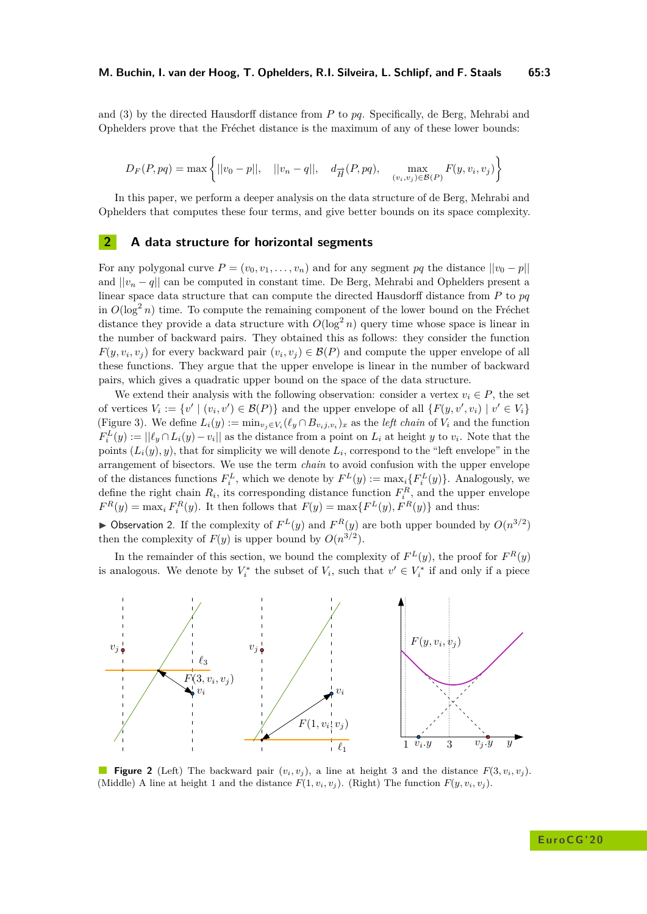and (3) by the directed Hausdorff distance from *P* to *pq*. Specifically, de Berg, Mehrabi and Ophelders prove that the Fréchet distance is the maximum of any of these lower bounds:

$$
D_F(P, pq) = \max \left\{ ||v_0 - p||, \quad ||v_n - q||, \quad d_{\overrightarrow{H}}(P, pq), \quad \max_{(v_i, v_j) \in \mathcal{B}(P)} F(y, v_i, v_j) \right\}
$$

In this paper, we perform a deeper analysis on the data structure of de Berg, Mehrabi and Ophelders that computes these four terms, and give better bounds on its space complexity.

## **2 A data structure for horizontal segments**

For any polygonal curve  $P = (v_0, v_1, \ldots, v_n)$  and for any segment  $pq$  the distance  $||v_0 - p||$ and  $||v_n - q||$  can be computed in constant time. De Berg, Mehrabi and Ophelders present a linear space data structure that can compute the directed Hausdorff distance from *P* to *pq* in  $O(\log^2 n)$  time. To compute the remaining component of the lower bound on the Fréchet distance they provide a data structure with  $O(\log^2 n)$  query time whose space is linear in the number of backward pairs. They obtained this as follows: they consider the function  $F(y, v_i, v_j)$  for every backward pair  $(v_i, v_j) \in \mathcal{B}(P)$  and compute the upper envelope of all these functions. They argue that the upper envelope is linear in the number of backward pairs, which gives a quadratic upper bound on the space of the data structure.

We extend their analysis with the following observation: consider a vertex  $v_i \in P$ , the set of vertices  $V_i := \{v' \mid (v_i, v') \in \mathcal{B}(P)\}\$  and the upper envelope of all  $\{F(y, v', v_i) \mid v' \in V_i\}$ (Figure [3\)](#page-3-0). We define  $L_i(y) := \min_{v_j \in V_i} (\ell_y \cap B_{v_i,j,v_i})_x$  as the *left chain* of  $V_i$  and the function  $F_i^L(y) := ||\ell_y \cap L_i(y) - v_i||$  as the distance from a point on  $L_i$  at height *y* to  $v_i$ . Note that the points  $(L_i(y), y)$ , that for simplicity we will denote  $L_i$ , correspond to the "left envelope" in the arrangement of bisectors. We use the term *chain* to avoid confusion with the upper envelope of the distances functions  $F_i^L$ , which we denote by  $F^L(y) := \max_i \{F_i^L(y)\}\.$  Analogously, we define the right chain  $R_i$ , its corresponding distance function  $F_i^R$ , and the upper envelope  $F^{R}(y) = \max_{i} F^{R}_{i}(y)$ . It then follows that  $F(y) = \max\{F^{L}(y), F^{R}(y)\}$  and thus:

<span id="page-2-1"></span> $\triangleright$  Observation 2. If the complexity of  $F^L(y)$  and  $F^R(y)$  are both upper bounded by  $O(n^{3/2})$ then the complexity of  $F(y)$  is upper bound by  $O(n^{3/2})$ .

In the remainder of this section, we bound the complexity of  $F^L(y)$ , the proof for  $F^R(y)$ is analogous. We denote by  $V_i^*$  the subset of  $V_i$ , such that  $v' \in V_i^*$  if and only if a piece

<span id="page-2-0"></span>

**Figure 2** (Left) The backward pair  $(v_i, v_j)$ , a line at height 3 and the distance  $F(3, v_i, v_j)$ . (Middle) A line at height 1 and the distance  $F(1, v_i, v_j)$ . (Right) The function  $F(y, v_i, v_j)$ .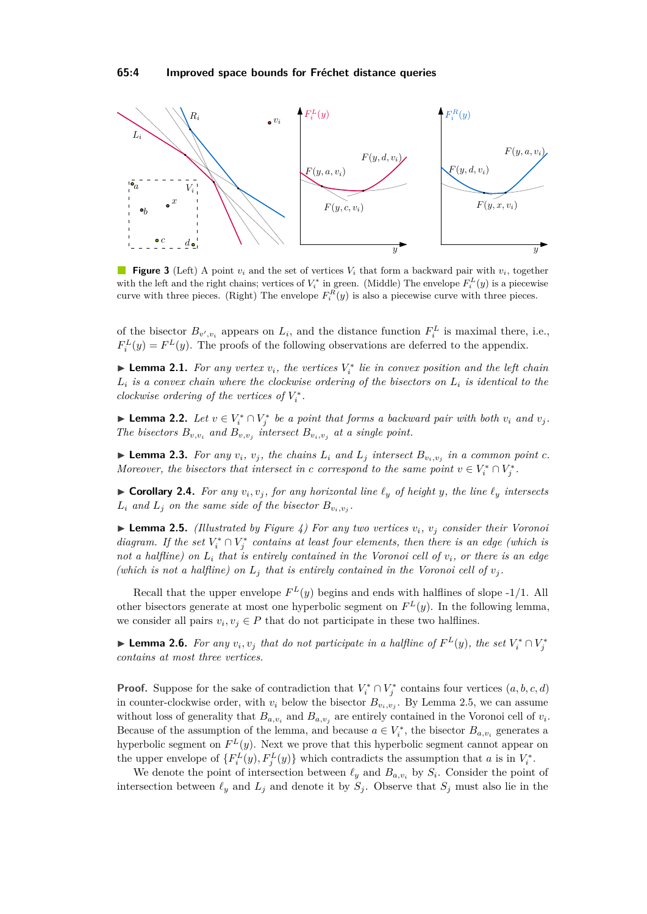<span id="page-3-0"></span>

**Figure 3** (Left) A point  $v_i$  and the set of vertices  $V_i$  that form a backward pair with  $v_i$ , together with the left and the right chains; vertices of  $V_i^*$  in green. (Middle) The envelope  $F_i^L(y)$  is a piecewise curve with three pieces. (Right) The envelope  $F_i^R(y)$  is also a piecewise curve with three pieces.

of the bisector  $B_{v',v_i}$  appears on  $L_i$ , and the distance function  $F_i^L$  is maximal there, i.e.,  $F_i^L(y) = F^L(y)$ . The proofs of the following observations are deferred to the appendix.

<span id="page-3-3"></span>**Example 2.1.** For any vertex  $v_i$ , the vertices  $V_i^*$  lie in convex position and the left chain *L<sup>i</sup> is a convex chain where the clockwise ordering of the bisectors on L<sup>i</sup> is identical to the clockwise ordering of the vertices of*  $V_i^*$ .

► **Lemma 2.2.** Let  $v \in V_i^* \cap V_j^*$  be a point that forms a backward pair with both  $v_i$  and  $v_j$ . *The bisectors*  $B_{v,v_i}$  *and*  $B_{v,v_j}$  *intersect*  $B_{v_i,v_j}$  *at a single point.* 

**Lemma 2.3.** For any  $v_i$ ,  $v_j$ , the chains  $L_i$  and  $L_j$  intersect  $B_{v_i,v_j}$  in a common point c. *Moreover, the bisectors that intersect in <i>c correspond to the same point*  $v \in V_i^* \cap V_j^*$ .

<span id="page-3-2"></span> $\triangleright$  **Corollary 2.4.** For any  $v_i, v_j$ , for any horizontal line  $\ell_y$  of height y, the line  $\ell_y$  intersects  $L_i$  *and*  $L_j$  *on the same side of the bisector*  $B_{v_i,v_j}$ *.* 

<span id="page-3-1"></span> $\blacktriangleright$  **Lemma 2.5.** *(Illustrated by Figure [4\)](#page-4-0) For any two vertices*  $v_i$ *,*  $v_j$  *consider their Voronoi diagram. If the set*  $V_i^* \cap V_j^*$  *contains at least four elements, then there is an edge (which is not a halfline) on L<sup>i</sup> that is entirely contained in the Voronoi cell of vi, or there is an edge (which is not a halfline) on*  $L_i$  *that is entirely contained in the Voronoi cell of*  $v_i$ *.* 

Recall that the upper envelope  $F^L(y)$  begins and ends with halflines of slope -1/1. All other bisectors generate at most one hyperbolic segment on  $F^L(y)$ . In the following lemma, we consider all pairs  $v_i, v_j \in P$  that do not participate in these two halflines.

<span id="page-3-4"></span>► **Lemma 2.6.** For any  $v_i, v_j$  that do not participate in a halfline of  $F^L(y)$ , the set  $V_i^* \cap V_j^*$ *contains at most three vertices.*

**Proof.** Suppose for the sake of contradiction that  $V_i^* \cap V_j^*$  contains four vertices  $(a, b, c, d)$ in counter-clockwise order, with  $v_i$  below the bisector  $B_{v_i,v_j}$ . By Lemma [2.5,](#page-3-1) we can assume without loss of generality that  $B_{a,v_i}$  and  $B_{a,v_j}$  are entirely contained in the Voronoi cell of  $v_i$ . Because of the assumption of the lemma, and because  $a \in V_i^*$ , the bisector  $B_{a,v_i}$  generates a hyperbolic segment on  $F^L(y)$ . Next we prove that this hyperbolic segment cannot appear on the upper envelope of  $\{F_i^L(y), F_j^L(y)\}$  which contradicts the assumption that *a* is in  $V_i^*$ .

We denote the point of intersection between  $\ell_y$  and  $B_{a,v_i}$  by  $S_i$ . Consider the point of intersection between  $\ell_y$  and  $L_j$  and denote it by  $S_j$ . Observe that  $S_j$  must also lie in the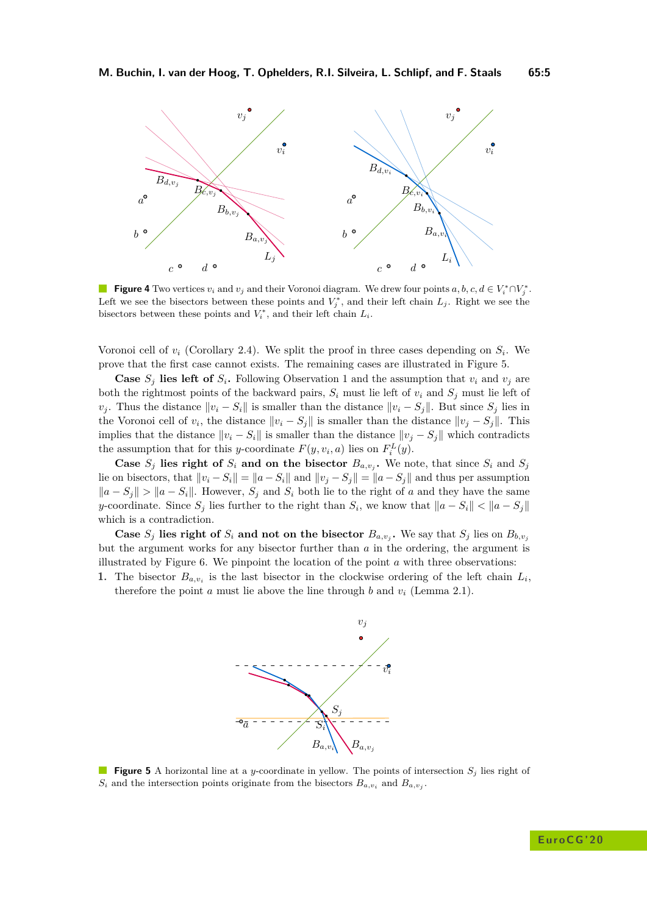<span id="page-4-0"></span>

**Figure 4** Two vertices  $v_i$  and  $v_j$  and their Voronoi diagram. We drew four points  $a, b, c, d \in V_i^* \cap V_j^*$ . Left we see the bisectors between these points and  $V_j^*$ , and their left chain  $L_j$ . Right we see the bisectors between these points and  $V_i^*$ , and their left chain  $L_i$ .

Voronoi cell of  $v_i$  (Corollary [2.4\)](#page-3-2). We split the proof in three cases depending on  $S_i$ . We prove that the first case cannot exists. The remaining cases are illustrated in Figure [5.](#page-4-1)

**Case**  $S_i$  **lies left of**  $S_i$ **.** Following Observation 1 and the assumption that  $v_i$  and  $v_j$  are both the rightmost points of the backward pairs,  $S_i$  must lie left of  $v_i$  and  $S_j$  must lie left of *v*<sub>*j*</sub>. Thus the distance  $||v_i - S_i||$  is smaller than the distance  $||v_i - S_j||$ . But since  $S_j$  lies in the Voronoi cell of  $v_i$ , the distance  $||v_i - S_j||$  is smaller than the distance  $||v_j - S_j||$ . This implies that the distance  $||v_i - S_i||$  is smaller than the distance  $||v_j - S_j||$  which contradicts the assumption that for this *y*-coordinate  $F(y, v_i, a)$  lies on  $F_i^L(y)$ .

**Case**  $S_j$  lies right of  $S_i$  and on the bisector  $B_{a,v_j}$ . We note, that since  $S_i$  and  $S_j$ lie on bisectors, that  $||v_i - S_i|| = ||a - S_i||$  and  $||v_j - S_j|| = ||a - S_j||$  and thus per assumption *ka* − *S*<sup>*j*</sup>k *j* k*a* − *S*<sup>*i*</sup>k. However, *S*<sup>*j*</sup> and *S*<sup>*i*</sup> both lie to the right of *a* and they have the same *y*-coordinate. Since  $S_j$  lies further to the right than  $S_i$ , we know that  $\|a - S_i\| < \|a - S_j\|$ which is a contradiction.

**Case**  $S_j$  lies right of  $S_i$  and not on the bisector  $B_{a,v_j}$ . We say that  $S_j$  lies on  $B_{b,v_j}$ but the argument works for any bisector further than *a* in the ordering, the argument is illustrated by Figure [6.](#page-5-0) We pinpoint the location of the point *a* with three observations:

<span id="page-4-1"></span>**1.** The bisector  $B_{a,v_i}$  is the last bisector in the clockwise ordering of the left chain  $L_i$ , therefore the point *a* must lie above the line through *b* and  $v_i$  (Lemma [2.1\)](#page-3-3).



**Figure 5** A horizontal line at a *y*-coordinate in yellow. The points of intersection  $S_i$  lies right of  $S_i$  and the intersection points originate from the bisectors  $B_{a,v_i}$  and  $B_{a,v_j}$ .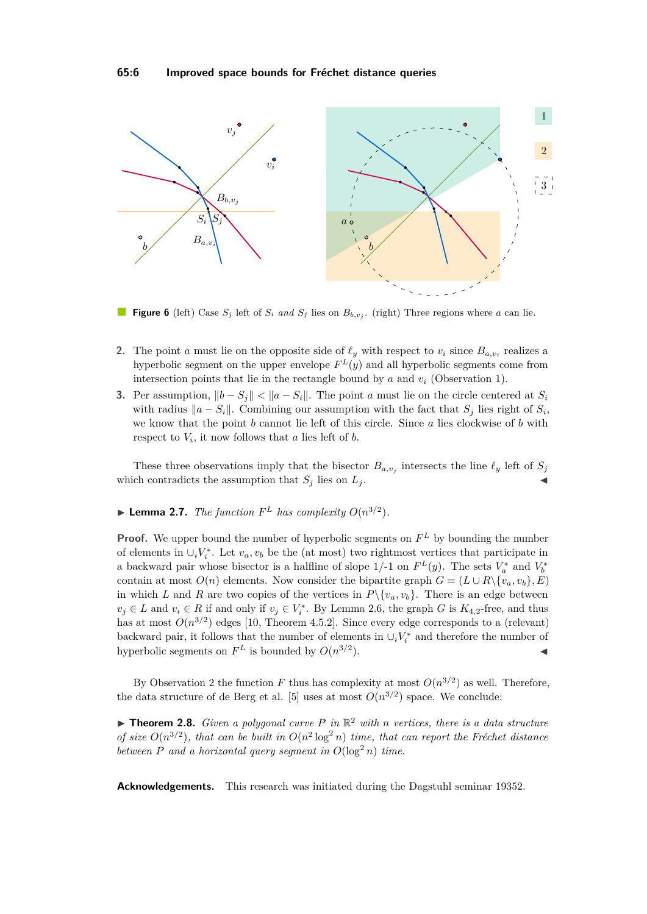<span id="page-5-0"></span>

**Figure 6** (left) Case  $S_j$  left of  $S_i$  *and*  $S_j$  lies on  $B_{b,v_j}$ . (right) Three regions where *a* can lie.

- **2.** The point *a* must lie on the opposite side of  $\ell_y$  with respect to  $v_i$  since  $B_{a,v_i}$  realizes a hyperbolic segment on the upper envelope  $F^L(y)$  and all hyperbolic segments come from intersection points that lie in the rectangle bound by  $a$  and  $v_i$  (Observation [1\)](#page-1-1).
- **3.** Per assumption,  $||b S_j|| < ||a S_i||$ . The point *a* must lie on the circle centered at  $S_i$ with radius  $\|a - S_i\|$ . Combining our assumption with the fact that  $S_j$  lies right of  $S_i$ , we know that the point *b* cannot lie left of this circle. Since *a* lies clockwise of *b* with respect to  $V_i$ , it now follows that  $a$  lies left of  $b$ .

These three observations imply that the bisector  $B_{a,v_j}$  intersects the line  $\ell_y$  left of  $S_j$ which contradicts the assumption that  $S_j$  lies on  $L_j$ .

 $\blacktriangleright$  **Lemma 2.7.** *The function*  $F^L$  *has complexity*  $O(n^{3/2})$ *.* 

**Proof.** We upper bound the number of hyperbolic segments on  $F<sup>L</sup>$  by bounding the number of elements in  $\cup_i V_i^*$ . Let  $v_a, v_b$  be the (at most) two rightmost vertices that participate in a backward pair whose bisector is a halfline of slope  $1/-1$  on  $F<sup>L</sup>(y)$ . The sets  $V_a^*$  and  $V_b^*$ contain at most  $O(n)$  elements. Now consider the bipartite graph  $G = (L \cup R \setminus \{v_a, v_b\}, E)$ in which *L* and *R* are two copies of the vertices in  $P \setminus \{v_a, v_b\}$ . There is an edge between  $v_j \in L$  and  $v_i \in R$  if and only if  $v_j \in V_i^*$ . By Lemma [2.6,](#page-3-4) the graph *G* is  $K_{4,2}$ -free, and thus has at most  $O(n^{3/2})$  edges [\[10,](#page-6-9) Theorem 4.5.2]. Since every edge corresponds to a (relevant) backward pair, it follows that the number of elements in  $\cup_i V_i^*$  and therefore the number of hyperbolic segments on  $F^L$  is bounded by  $O(n^{3/2})$  $\blacksquare$ ).

By Observation [2](#page-2-1) the function *F* thus has complexity at most  $O(n^{3/2})$  as well. Therefore, the data structure of de Berg et al. [\[5\]](#page-6-8) uses at most  $O(n^{3/2})$  space. We conclude:

**Theorem 2.8.** *Given a polygonal curve*  $P$  *in*  $\mathbb{R}^2$  *with n vertices, there is a data structure of size*  $O(n^{3/2})$ *, that can be built in*  $O(n^2 \log^2 n)$  *time, that can report the Fréchet distance between*  $P$  *and a horizontal query segment in*  $O(\log^2 n)$  *time.* 

**Acknowledgements.** This research was initiated during the Dagstuhl seminar 19352.